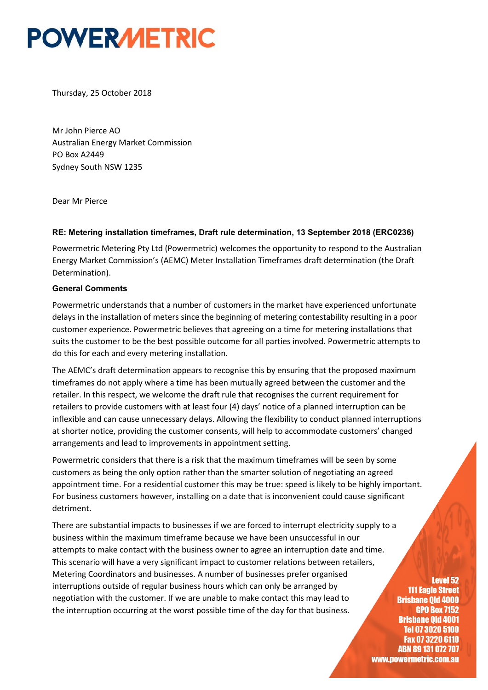Thursday, 25 October 2018

Mr John Pierce AO Australian Energy Market Commission PO Box A2449 Sydney South NSW 1235

Dear Mr Pierce

#### **RE: Metering installation timeframes, Draft rule determination, 13 September 2018 (ERC0236)**

Powermetric Metering Pty Ltd (Powermetric) welcomes the opportunity to respond to the Australian Energy Market Commission's (AEMC) Meter Installation Timeframes draft determination (the Draft Determination).

#### **General Comments**

Powermetric understands that a number of customers in the market have experienced unfortunate delays in the installation of meters since the beginning of metering contestability resulting in a poor customer experience. Powermetric believes that agreeing on a time for metering installations that suits the customer to be the best possible outcome for all parties involved. Powermetric attempts to do this for each and every metering installation.

The AEMC's draft determination appears to recognise this by ensuring that the proposed maximum timeframes do not apply where a time has been mutually agreed between the customer and the retailer. In this respect, we welcome the draft rule that recognises the current requirement for retailers to provide customers with at least four (4) days' notice of a planned interruption can be inflexible and can cause unnecessary delays. Allowing the flexibility to conduct planned interruptions at shorter notice, providing the customer consents, will help to accommodate customers' changed arrangements and lead to improvements in appointment setting.

Powermetric considers that there is a risk that the maximum timeframes will be seen by some customers as being the only option rather than the smarter solution of negotiating an agreed appointment time. For a residential customer this may be true: speed is likely to be highly important. For business customers however, installing on a date that is inconvenient could cause significant detriment.

There are substantial impacts to businesses if we are forced to interrupt electricity supply to a business within the maximum timeframe because we have been unsuccessful in our attempts to make contact with the business owner to agree an interruption date and time. This scenario will have a very significant impact to customer relations between retailers, Metering Coordinators and businesses. A number of businesses prefer organised interruptions outside of regular business hours which can only be arranged by negotiation with the customer. If we are unable to make contact this may lead to the interruption occurring at the worst possible time of the day for that business.

**Level 52 111 Eagle Street Brishane Old 4000 GPO Box 7152 Brisbane Old 4001 Tel 07 3020 5100** Fax 07 3220 6110 ABN 89 131 072 707 www.powermetric.com.au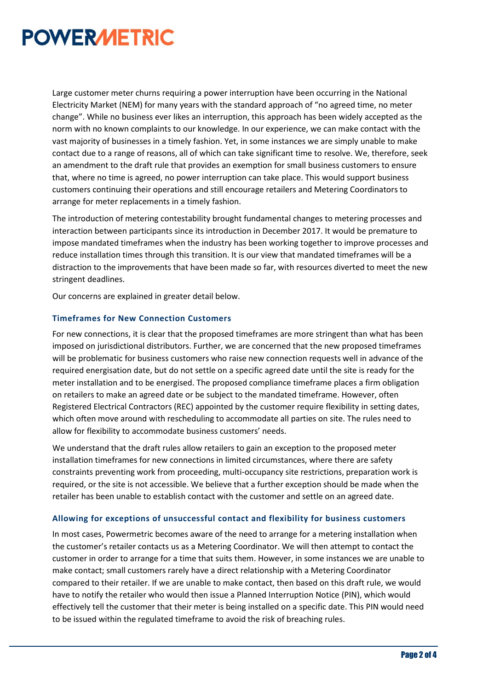Large customer meter churns requiring a power interruption have been occurring in the National Electricity Market (NEM) for many years with the standard approach of "no agreed time, no meter change". While no business ever likes an interruption, this approach has been widely accepted as the norm with no known complaints to our knowledge. In our experience, we can make contact with the vast majority of businesses in a timely fashion. Yet, in some instances we are simply unable to make contact due to a range of reasons, all of which can take significant time to resolve. We, therefore, seek an amendment to the draft rule that provides an exemption for small business customers to ensure that, where no time is agreed, no power interruption can take place. This would support business customers continuing their operations and still encourage retailers and Metering Coordinators to arrange for meter replacements in a timely fashion.

The introduction of metering contestability brought fundamental changes to metering processes and interaction between participants since its introduction in December 2017. It would be premature to impose mandated timeframes when the industry has been working together to improve processes and reduce installation times through this transition. It is our view that mandated timeframes will be a distraction to the improvements that have been made so far, with resources diverted to meet the new stringent deadlines.

Our concerns are explained in greater detail below.

#### **Timeframes for New Connection Customers**

For new connections, it is clear that the proposed timeframes are more stringent than what has been imposed on jurisdictional distributors. Further, we are concerned that the new proposed timeframes will be problematic for business customers who raise new connection requests well in advance of the required energisation date, but do not settle on a specific agreed date until the site is ready for the meter installation and to be energised. The proposed compliance timeframe places a firm obligation on retailers to make an agreed date or be subject to the mandated timeframe. However, often Registered Electrical Contractors (REC) appointed by the customer require flexibility in setting dates, which often move around with rescheduling to accommodate all parties on site. The rules need to allow for flexibility to accommodate business customers' needs.

We understand that the draft rules allow retailers to gain an exception to the proposed meter installation timeframes for new connections in limited circumstances, where there are safety constraints preventing work from proceeding, multi-occupancy site restrictions, preparation work is required, or the site is not accessible. We believe that a further exception should be made when the retailer has been unable to establish contact with the customer and settle on an agreed date.

#### **Allowing for exceptions of unsuccessful contact and flexibility for business customers**

In most cases, Powermetric becomes aware of the need to arrange for a metering installation when the customer's retailer contacts us as a Metering Coordinator. We will then attempt to contact the customer in order to arrange for a time that suits them. However, in some instances we are unable to make contact; small customers rarely have a direct relationship with a Metering Coordinator compared to their retailer. If we are unable to make contact, then based on this draft rule, we would have to notify the retailer who would then issue a Planned Interruption Notice (PIN), which would effectively tell the customer that their meter is being installed on a specific date. This PIN would need to be issued within the regulated timeframe to avoid the risk of breaching rules.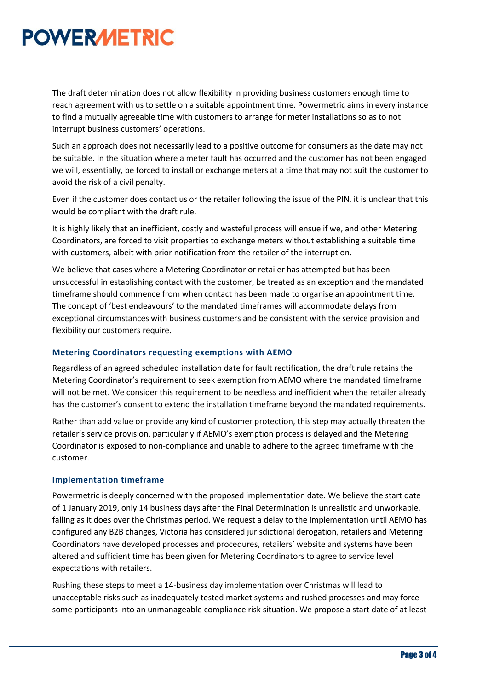The draft determination does not allow flexibility in providing business customers enough time to reach agreement with us to settle on a suitable appointment time. Powermetric aims in every instance to find a mutually agreeable time with customers to arrange for meter installations so as to not interrupt business customers' operations.

Such an approach does not necessarily lead to a positive outcome for consumers as the date may not be suitable. In the situation where a meter fault has occurred and the customer has not been engaged we will, essentially, be forced to install or exchange meters at a time that may not suit the customer to avoid the risk of a civil penalty.

Even if the customer does contact us or the retailer following the issue of the PIN, it is unclear that this would be compliant with the draft rule.

It is highly likely that an inefficient, costly and wasteful process will ensue if we, and other Metering Coordinators, are forced to visit properties to exchange meters without establishing a suitable time with customers, albeit with prior notification from the retailer of the interruption.

We believe that cases where a Metering Coordinator or retailer has attempted but has been unsuccessful in establishing contact with the customer, be treated as an exception and the mandated timeframe should commence from when contact has been made to organise an appointment time. The concept of 'best endeavours' to the mandated timeframes will accommodate delays from exceptional circumstances with business customers and be consistent with the service provision and flexibility our customers require.

#### **Metering Coordinators requesting exemptions with AEMO**

Regardless of an agreed scheduled installation date for fault rectification, the draft rule retains the Metering Coordinator's requirement to seek exemption from AEMO where the mandated timeframe will not be met. We consider this requirement to be needless and inefficient when the retailer already has the customer's consent to extend the installation timeframe beyond the mandated requirements.

Rather than add value or provide any kind of customer protection, this step may actually threaten the retailer's service provision, particularly if AEMO's exemption process is delayed and the Metering Coordinator is exposed to non-compliance and unable to adhere to the agreed timeframe with the customer.

#### **Implementation timeframe**

Powermetric is deeply concerned with the proposed implementation date. We believe the start date of 1 January 2019, only 14 business days after the Final Determination is unrealistic and unworkable, falling as it does over the Christmas period. We request a delay to the implementation until AEMO has configured any B2B changes, Victoria has considered jurisdictional derogation, retailers and Metering Coordinators have developed processes and procedures, retailers' website and systems have been altered and sufficient time has been given for Metering Coordinators to agree to service level expectations with retailers.

Rushing these steps to meet a 14-business day implementation over Christmas will lead to unacceptable risks such as inadequately tested market systems and rushed processes and may force some participants into an unmanageable compliance risk situation. We propose a start date of at least